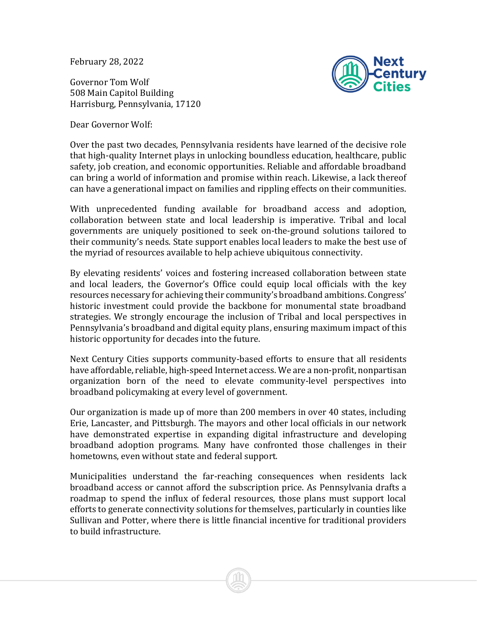February 28, 2022

Governor Tom Wolf 508 Main Capitol Building Harrisburg, Pennsylvania, 17120



Dear Governor Wolf:

Over the past two decades, Pennsylvania residents have learned of the decisive role that high-quality Internet plays in unlocking boundless education, healthcare, public safety, job creation, and economic opportunities. Reliable and affordable broadband can bring a world of information and promise within reach. Likewise, a lack thereof can have a generational impact on families and rippling effects on their communities.

With unprecedented funding available for broadband access and adoption, collaboration between state and local leadership is imperative. Tribal and local governments are uniquely positioned to seek on-the-ground solutions tailored to their community's needs. State support enables local leaders to make the best use of the myriad of resources available to help achieve ubiquitous connectivity.

By elevating residents' voices and fostering increased collaboration between state and local leaders, the Governor's Office could equip local officials with the key resources necessary for achieving their community's broadband ambitions. Congress' historic investment could provide the backbone for monumental state broadband strategies. We strongly encourage the inclusion of Tribal and local perspectives in Pennsylvania's broadband and digital equity plans, ensuring maximum impact of this historic opportunity for decades into the future.

Next Century Cities supports community-based efforts to ensure that all residents have affordable, reliable, high-speed Internet access. We are a non-profit, nonpartisan organization born of the need to elevate community-level perspectives into broadband policymaking at every level of government.

Our organization is made up of more than 200 members in over 40 states, including Erie, Lancaster, and Pittsburgh. The mayors and other local officials in our network have demonstrated expertise in expanding digital infrastructure and developing broadband adoption programs. Many have confronted those challenges in their hometowns, even without state and federal support.

Municipalities understand the far-reaching consequences when residents lack broadband access or cannot afford the subscription price. As Pennsylvania drafts a roadmap to spend the influx of federal resources, those plans must support local efforts to generate connectivity solutions for themselves, particularly in counties like Sullivan and Potter, where there is little financial incentive for traditional providers to build infrastructure.